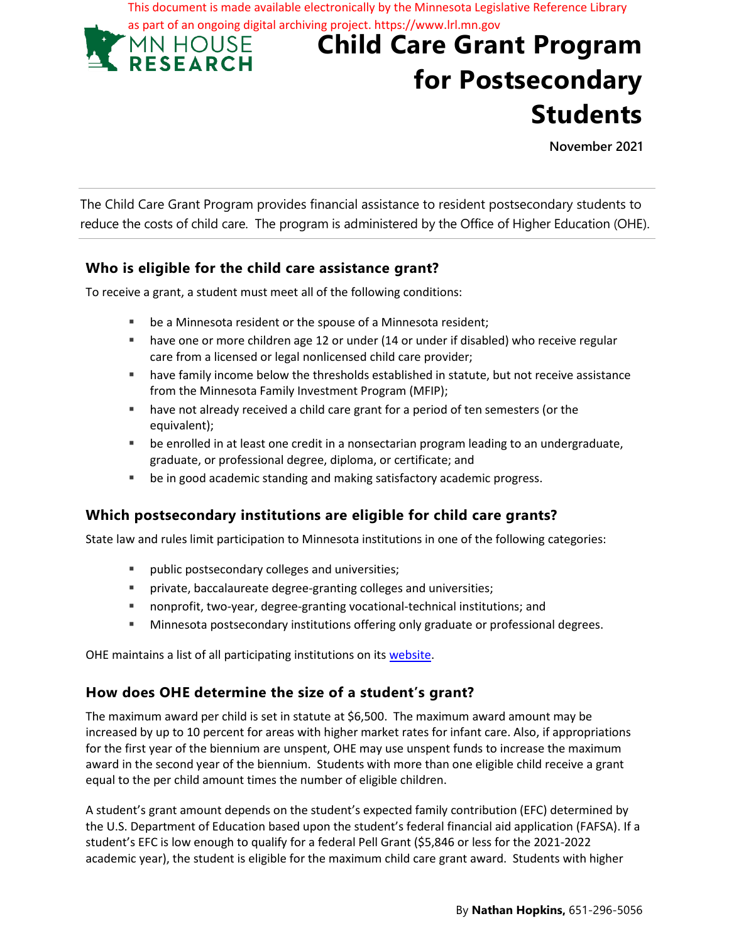**Child Care Grant Program for Postsecondary**  This document is made available electronically by the Minnesota Legislative Reference Library as part of an ongoing digital archiving project. https://www.lrl.mn.gov<br>
MN HOUSE Child Care Grai

**November 2021**

**Students**

The Child Care Grant Program provides financial assistance to resident postsecondary students to reduce the costs of child care. The program is administered by the Office of Higher Education (OHE).

### **Who is eligible for the child care assistance grant?**

To receive a grant, a student must meet all of the following conditions:

- be a Minnesota resident or the spouse of a Minnesota resident;
- have one or more children age 12 or under (14 or under if disabled) who receive regular care from a licensed or legal nonlicensed child care provider;
- have family income below the thresholds established in statute, but not receive assistance from the Minnesota Family Investment Program (MFIP);
- have not already received a child care grant for a period of ten semesters (or the equivalent);
- be enrolled in at least one credit in a nonsectarian program leading to an undergraduate, graduate, or professional degree, diploma, or certificate; and
- be in good academic standing and making satisfactory academic progress.

# **Which postsecondary institutions are eligible for child care grants?**

State law and rules limit participation to Minnesota institutions in one of the following categories:

- **Public postsecondary colleges and universities;**
- private, baccalaureate degree-granting colleges and universities;
- nonprofit, two-year, degree-granting vocational-technical institutions; and
- Minnesota postsecondary institutions offering only graduate or professional degrees.

OHE maintains a list of all participating institutions on its website.

### **How does OHE determine the size of a student's grant?**

The maximum award per child is set in statute at \$6,500. The maximum award amount may be increased by up to 10 percent for areas with higher market rates for infant care. Also, if appropriations for the first year of the biennium are unspent, OHE may use unspent funds to increase the maximum award in the second year of the biennium. Students with more than one eligible child receive a grant equal to the per child amount times the number of eligible children.

A student's grant amount depends on the student's expected family contribution (EFC) determined by the U.S. Department of Education based upon the student's federal financial aid application (FAFSA). If a student's EFC is low enough to qualify for a federal Pell Grant (\$5,846 or less for the 2021-2022 academic year), the student is eligible for the maximum child care grant award. Students with higher